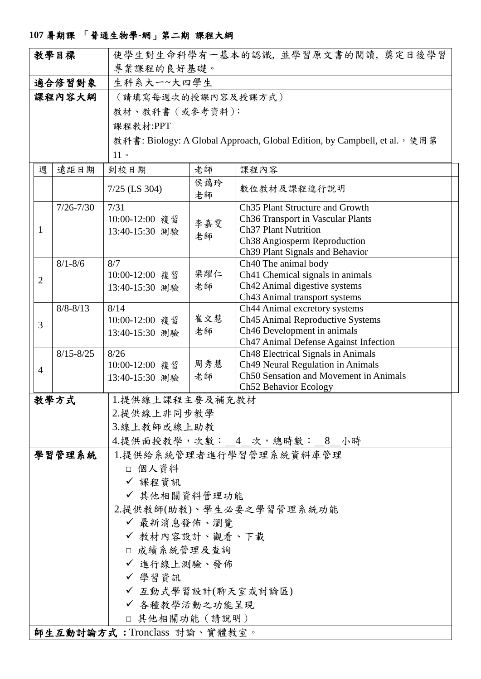## **107** 暑期課 「普通生物學**-**網」第二期 課程大綱

| 教學目標                        |               | 使學生對生命科學有一基本的認識, 並學習原文書的閱讀, 奠定日後學習                                        |                |                                                                      |  |  |
|-----------------------------|---------------|---------------------------------------------------------------------------|----------------|----------------------------------------------------------------------|--|--|
|                             |               | 專業課程的良好基礎。                                                                |                |                                                                      |  |  |
| 適合修習對象                      |               | 生科系大一~大四學生                                                                |                |                                                                      |  |  |
| 課程內容大綱                      |               | (請填寫每週次的授課內容及授課方式)                                                        |                |                                                                      |  |  |
|                             |               | 教材、教科書 (或參考資料):                                                           |                |                                                                      |  |  |
|                             |               | 課程教材:PPT                                                                  |                |                                                                      |  |  |
|                             |               |                                                                           |                |                                                                      |  |  |
|                             |               | 教科書: Biology: A Global Approach, Global Edition, by Campbell, et al., 使用第 |                |                                                                      |  |  |
|                             |               | 11                                                                        |                |                                                                      |  |  |
| 週                           | 遠距日期          | 到校日期                                                                      | 老師             | 課程內容                                                                 |  |  |
|                             |               | $7/25$ (LS 304)                                                           | 侯藹玲<br>老師      | 數位教材及課程進行說明                                                          |  |  |
|                             | $7/26 - 7/30$ | 7/31                                                                      |                | Ch <sub>35</sub> Plant Structure and Growth                          |  |  |
|                             |               | 10:00-12:00 複習                                                            | 李嘉雯            | Ch36 Transport in Vascular Plants                                    |  |  |
| $\mathbf 1$                 |               | 13:40-15:30 測驗                                                            | 老師             | <b>Ch37 Plant Nutrition</b><br>Ch38 Angiosperm Reproduction          |  |  |
|                             |               |                                                                           |                | Ch39 Plant Signals and Behavior                                      |  |  |
|                             | $8/1 - 8/6$   | 8/7                                                                       |                | Ch <sub>40</sub> The animal body                                     |  |  |
|                             |               | 10:00-12:00 複習                                                            | 梁躍仁            | Ch41 Chemical signals in animals                                     |  |  |
| $\overline{2}$              |               | 13:40-15:30 測驗                                                            | 老師             | Ch42 Animal digestive systems                                        |  |  |
|                             |               |                                                                           |                | Ch43 Animal transport systems                                        |  |  |
|                             | $8/8 - 8/13$  | 8/14                                                                      |                | Ch44 Animal excretory systems                                        |  |  |
| 3                           |               | 10:00-12:00 複習                                                            | 崔文慧            | Ch45 Animal Reproductive Systems                                     |  |  |
|                             |               | 13:40-15:30 測驗                                                            | 老師             | Ch46 Development in animals<br>Ch47 Animal Defense Against Infection |  |  |
|                             | $8/15 - 8/25$ | 8/26                                                                      |                | Ch48 Electrical Signals in Animals                                   |  |  |
| $\overline{4}$              |               | 10:00-12:00 複習                                                            | 周秀慧            | Ch49 Neural Regulation in Animals                                    |  |  |
|                             |               | 13:40-15:30 測驗                                                            | 老師             | Ch50 Sensation and Movement in Animals                               |  |  |
|                             |               |                                                                           |                | Ch52 Behavior Ecology                                                |  |  |
| 教學方式                        |               | 1.提供線上課程主要及補充教材                                                           |                |                                                                      |  |  |
|                             |               | 2.提供線上非同步教學                                                               |                |                                                                      |  |  |
|                             |               | 3.線上教師或線上助教                                                               |                |                                                                      |  |  |
|                             |               | 4.提供面授教學,次數: 4 次,總時數: 8 小時                                                |                |                                                                      |  |  |
| 學習管理系統                      |               | 1.提供給系統管理者進行學習管理系統資料庫管理                                                   |                |                                                                      |  |  |
|                             |               | □ 個人資料                                                                    |                |                                                                      |  |  |
|                             |               | ✔ 課程資訊                                                                    |                |                                                                      |  |  |
|                             |               | √ 其他相關資料管理功能                                                              |                |                                                                      |  |  |
|                             |               | 2.提供教師(助教)、學生必要之學習管理系統功能                                                  |                |                                                                      |  |  |
|                             |               | ✔ 最新消息發佈、瀏覽                                                               |                |                                                                      |  |  |
|                             |               | ✔ 教材內容設計、觀看、下載                                                            |                |                                                                      |  |  |
|                             |               | □ 成績系統管理及查詢                                                               |                |                                                                      |  |  |
|                             |               | ✔ 進行線上測驗、發佈                                                               |                |                                                                      |  |  |
|                             |               | ✔ 學習資訊                                                                    |                |                                                                      |  |  |
|                             |               | √ 互動式學習設計(聊天室或討論區)                                                        |                |                                                                      |  |  |
|                             |               | ✔ 各種教學活動之功能呈現                                                             |                |                                                                      |  |  |
|                             |               |                                                                           | □ 其他相關功能 (請說明) |                                                                      |  |  |
|                             |               |                                                                           |                |                                                                      |  |  |
| 師生互動討論方式:Tronclass 討論、實體教室。 |               |                                                                           |                |                                                                      |  |  |